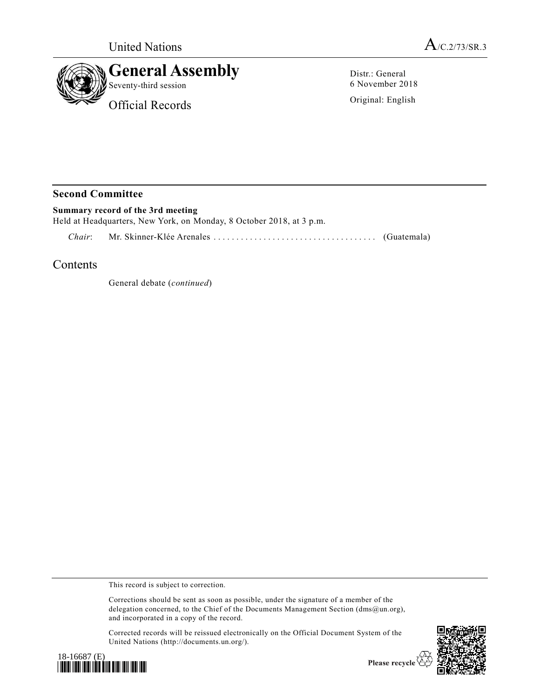



Distr.: General 6 November 2018

Original: English

## **Second Committee**

**Summary record of the 3rd meeting** Held at Headquarters, New York, on Monday, 8 October 2018, at 3 p.m.

*Chair*: Mr. Skinner-Klée Arenales ................................ .... (Guatemala)

## Contents

General debate (*continued*)

This record is subject to correction.

Corrections should be sent as soon as possible, under the signature of a member of the delegation concerned, to the Chief of the Documents Management Section (dms@un.org), and incorporated in a copy of the record.

Corrected records will be reissued electronically on the Official Document System of the United Nations (http://documents.un.org/).





Please recycle  $\overline{\mathfrak{S}}$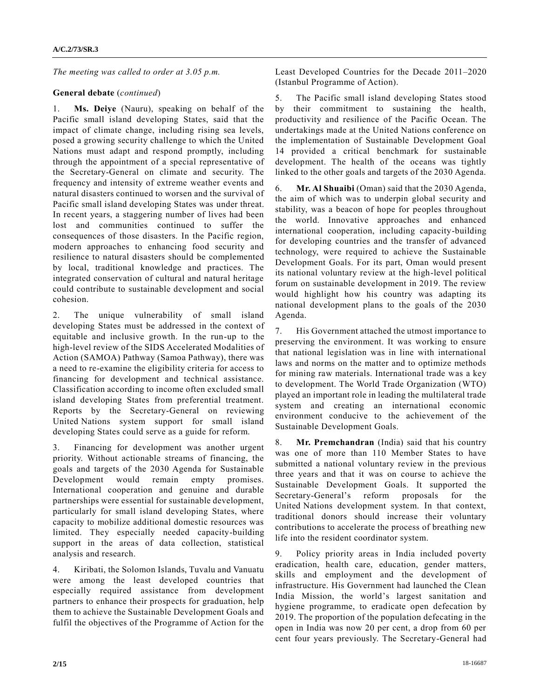*The meeting was called to order at 3.05 p.m.*

## **General debate** (*continued*)

1. **Ms. Deiye** (Nauru), speaking on behalf of the Pacific small island developing States, said that the impact of climate change, including rising sea levels, posed a growing security challenge to which the United Nations must adapt and respond promptly, including through the appointment of a special representative of the Secretary-General on climate and security. The frequency and intensity of extreme weather events and natural disasters continued to worsen and the survival of Pacific small island developing States was under threat. In recent years, a staggering number of lives had been lost and communities continued to suffer the consequences of those disasters. In the Pacific region, modern approaches to enhancing food security and resilience to natural disasters should be complemented by local, traditional knowledge and practices. The integrated conservation of cultural and natural heritage could contribute to sustainable development and social cohesion.

2. The unique vulnerability of small island developing States must be addressed in the context of equitable and inclusive growth. In the run-up to the high-level review of the SIDS Accelerated Modalities of Action (SAMOA) Pathway (Samoa Pathway), there was a need to re-examine the eligibility criteria for access to financing for development and technical assistance. Classification according to income often excluded small island developing States from preferential treatment. Reports by the Secretary-General on reviewing United Nations system support for small island developing States could serve as a guide for reform.

3. Financing for development was another urgent priority. Without actionable streams of financing, the goals and targets of the 2030 Agenda for Sustainable Development would remain empty promises. International cooperation and genuine and durable partnerships were essential for sustainable development, particularly for small island developing States, where capacity to mobilize additional domestic resources was limited. They especially needed capacity-building support in the areas of data collection, statistical analysis and research.

4. Kiribati, the Solomon Islands, Tuvalu and Vanuatu were among the least developed countries that especially required assistance from development partners to enhance their prospects for graduation, help them to achieve the Sustainable Development Goals and fulfil the objectives of the Programme of Action for the

Least Developed Countries for the Decade 2011–2020 (Istanbul Programme of Action).

5. The Pacific small island developing States stood by their commitment to sustaining the health, productivity and resilience of the Pacific Ocean. The undertakings made at the United Nations conference on the implementation of Sustainable Development Goal 14 provided a critical benchmark for sustainable development. The health of the oceans was tightly linked to the other goals and targets of the 2030 Agenda.

6. **Mr. Al Shuaibi** (Oman) said that the 2030 Agenda, the aim of which was to underpin global security and stability, was a beacon of hope for peoples throughout the world. Innovative approaches and enhanced international cooperation, including capacity-building for developing countries and the transfer of advanced technology, were required to achieve the Sustainable Development Goals. For its part, Oman would present its national voluntary review at the high-level political forum on sustainable development in 2019. The review would highlight how his country was adapting its national development plans to the goals of the 2030 Agenda.

7. His Government attached the utmost importance to preserving the environment. It was working to ensure that national legislation was in line with international laws and norms on the matter and to optimize methods for mining raw materials. International trade was a key to development. The World Trade Organization (WTO) played an important role in leading the multilateral trade system and creating an international economic environment conducive to the achievement of the Sustainable Development Goals.

8. **Mr. Premchandran** (India) said that his country was one of more than 110 Member States to have submitted a national voluntary review in the previous three years and that it was on course to achieve the Sustainable Development Goals. It supported the Secretary-General's reform proposals for the United Nations development system. In that context, traditional donors should increase their voluntary contributions to accelerate the process of breathing new life into the resident coordinator system.

9. Policy priority areas in India included poverty eradication, health care, education, gender matters, skills and employment and the development of infrastructure. His Government had launched the Clean India Mission, the world's largest sanitation and hygiene programme, to eradicate open defecation by 2019. The proportion of the population defecating in the open in India was now 20 per cent, a drop from 60 per cent four years previously. The Secretary-General had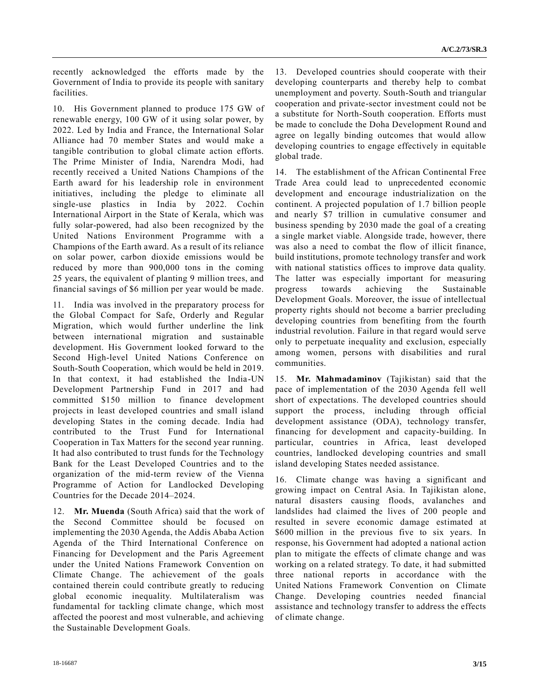recently acknowledged the efforts made by the Government of India to provide its people with sanitary facilities.

10. His Government planned to produce 175 GW of renewable energy, 100 GW of it using solar power, by 2022. Led by India and France, the International Solar Alliance had 70 member States and would make a tangible contribution to global climate action efforts. The Prime Minister of India, Narendra Modi, had recently received a United Nations Champions of the Earth award for his leadership role in environment initiatives, including the pledge to eliminate all single-use plastics in India by 2022. Cochin International Airport in the State of Kerala, which was fully solar-powered, had also been recognized by the United Nations Environment Programme with a Champions of the Earth award. As a result of its reliance on solar power, carbon dioxide emissions would be reduced by more than 900,000 tons in the coming 25 years, the equivalent of planting 9 million trees, and financial savings of \$6 million per year would be made.

11. India was involved in the preparatory process for the Global Compact for Safe, Orderly and Regular Migration, which would further underline the link between international migration and sustainable development. His Government looked forward to the Second High-level United Nations Conference on South-South Cooperation, which would be held in 2019. In that context, it had established the India-UN Development Partnership Fund in 2017 and had committed \$150 million to finance development projects in least developed countries and small island developing States in the coming decade. India had contributed to the Trust Fund for International Cooperation in Tax Matters for the second year running. It had also contributed to trust funds for the Technology Bank for the Least Developed Countries and to the organization of the mid-term review of the Vienna Programme of Action for Landlocked Developing Countries for the Decade 2014–2024.

12. **Mr. Muenda** (South Africa) said that the work of the Second Committee should be focused on implementing the 2030 Agenda, the Addis Ababa Action Agenda of the Third International Conference on Financing for Development and the Paris Agreement under the United Nations Framework Convention on Climate Change. The achievement of the goals contained therein could contribute greatly to reducing global economic inequality. Multilateralism was fundamental for tackling climate change, which most affected the poorest and most vulnerable, and achieving the Sustainable Development Goals.

13. Developed countries should cooperate with their developing counterparts and thereby help to combat unemployment and poverty. South-South and triangular cooperation and private-sector investment could not be a substitute for North-South cooperation. Efforts must be made to conclude the Doha Development Round and agree on legally binding outcomes that would allow developing countries to engage effectively in equitable global trade.

14. The establishment of the African Continental Free Trade Area could lead to unprecedented economic development and encourage industrialization on the continent. A projected population of 1.7 billion people and nearly \$7 trillion in cumulative consumer and business spending by 2030 made the goal of a creating a single market viable. Alongside trade, however, there was also a need to combat the flow of illicit finance, build institutions, promote technology transfer and work with national statistics offices to improve data quality. The latter was especially important for measuring progress towards achieving the Sustainable Development Goals. Moreover, the issue of intellectual property rights should not become a barrier precluding developing countries from benefiting from the fourth industrial revolution. Failure in that regard would serve only to perpetuate inequality and exclusion, especially among women, persons with disabilities and rural communities.

15. **Mr. Mahmadaminov** (Tajikistan) said that the pace of implementation of the 2030 Agenda fell well short of expectations. The developed countries should support the process, including through official development assistance (ODA), technology transfer, financing for development and capacity-building. In particular, countries in Africa, least developed countries, landlocked developing countries and small island developing States needed assistance.

16. Climate change was having a significant and growing impact on Central Asia. In Tajikistan alone, natural disasters causing floods, avalanches and landslides had claimed the lives of 200 people and resulted in severe economic damage estimated at \$600 million in the previous five to six years. In response, his Government had adopted a national action plan to mitigate the effects of climate change and was working on a related strategy. To date, it had submitted three national reports in accordance with the United Nations Framework Convention on Climate Change. Developing countries needed financial assistance and technology transfer to address the effects of climate change.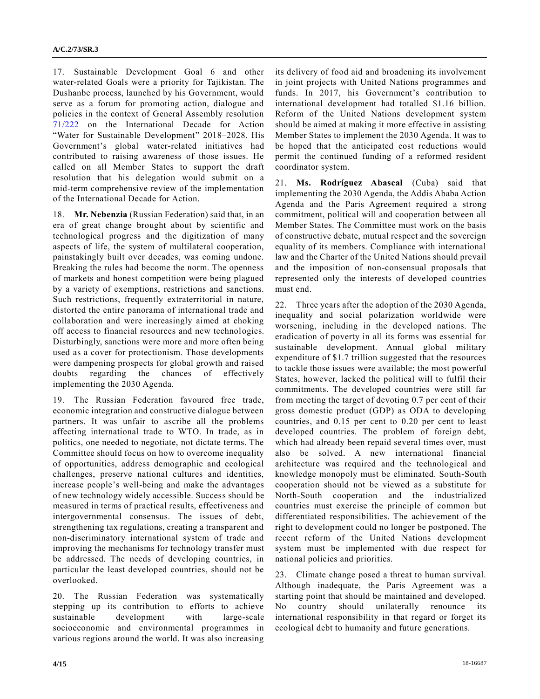17. Sustainable Development Goal 6 and other water-related Goals were a priority for Tajikistan. The Dushanbe process, launched by his Government, would serve as a forum for promoting action, dialogue and policies in the context of General Assembly resolution [71/222](https://undocs.org/A/RES/71/222) on the International Decade for Action "Water for Sustainable Development" 2018–2028. His Government's global water-related initiatives had contributed to raising awareness of those issues. He called on all Member States to support the draft resolution that his delegation would submit on a mid-term comprehensive review of the implementation of the International Decade for Action.

18. **Mr. Nebenzia** (Russian Federation) said that, in an era of great change brought about by scientific and technological progress and the digitization of many aspects of life, the system of multilateral cooperation, painstakingly built over decades, was coming undone. Breaking the rules had become the norm. The openness of markets and honest competition were being plagued by a variety of exemptions, restrictions and sanctions. Such restrictions, frequently extraterritorial in nature, distorted the entire panorama of international trade and collaboration and were increasingly aimed at choking off access to financial resources and new technologies. Disturbingly, sanctions were more and more often being used as a cover for protectionism. Those developments were dampening prospects for global growth and raised doubts regarding the chances of effectively implementing the 2030 Agenda.

19. The Russian Federation favoured free trade, economic integration and constructive dialogue between partners. It was unfair to ascribe all the problems affecting international trade to WTO. In trade, as in politics, one needed to negotiate, not dictate terms. The Committee should focus on how to overcome inequality of opportunities, address demographic and ecological challenges, preserve national cultures and identities, increase people's well-being and make the advantages of new technology widely accessible. Success should be measured in terms of practical results, effectiveness and intergovernmental consensus. The issues of debt, strengthening tax regulations, creating a transparent and non-discriminatory international system of trade and improving the mechanisms for technology transfer must be addressed. The needs of developing countries, in particular the least developed countries, should not be overlooked.

20. The Russian Federation was systematically stepping up its contribution to efforts to achieve sustainable development with large-scale socioeconomic and environmental programmes in various regions around the world. It was also increasing

its delivery of food aid and broadening its involvement in joint projects with United Nations programmes and funds. In 2017, his Government's contribution to international development had totalled \$1.16 billion. Reform of the United Nations development system should be aimed at making it more effective in assisting Member States to implement the 2030 Agenda. It was to be hoped that the anticipated cost reductions would permit the continued funding of a reformed resident coordinator system.

21. **Ms. Rodríguez Abascal** (Cuba) said that implementing the 2030 Agenda, the Addis Ababa Action Agenda and the Paris Agreement required a strong commitment, political will and cooperation between all Member States. The Committee must work on the basis of constructive debate, mutual respect and the sovereign equality of its members. Compliance with international law and the Charter of the United Nations should prevail and the imposition of non-consensual proposals that represented only the interests of developed countries must end.

22. Three years after the adoption of the 2030 Agenda, inequality and social polarization worldwide were worsening, including in the developed nations. The eradication of poverty in all its forms was essential for sustainable development. Annual global military expenditure of \$1.7 trillion suggested that the resources to tackle those issues were available; the most powerful States, however, lacked the political will to fulfil their commitments. The developed countries were still far from meeting the target of devoting 0.7 per cent of their gross domestic product (GDP) as ODA to developing countries, and 0.15 per cent to 0.20 per cent to least developed countries. The problem of foreign debt, which had already been repaid several times over, must also be solved. A new international financial architecture was required and the technological and knowledge monopoly must be eliminated. South-South cooperation should not be viewed as a substitute for North-South cooperation and the industrialized countries must exercise the principle of common but differentiated responsibilities. The achievement of the right to development could no longer be postponed. The recent reform of the United Nations development system must be implemented with due respect for national policies and priorities.

23. Climate change posed a threat to human survival. Although inadequate, the Paris Agreement was a starting point that should be maintained and developed. No country should unilaterally renounce its international responsibility in that regard or forget its ecological debt to humanity and future generations.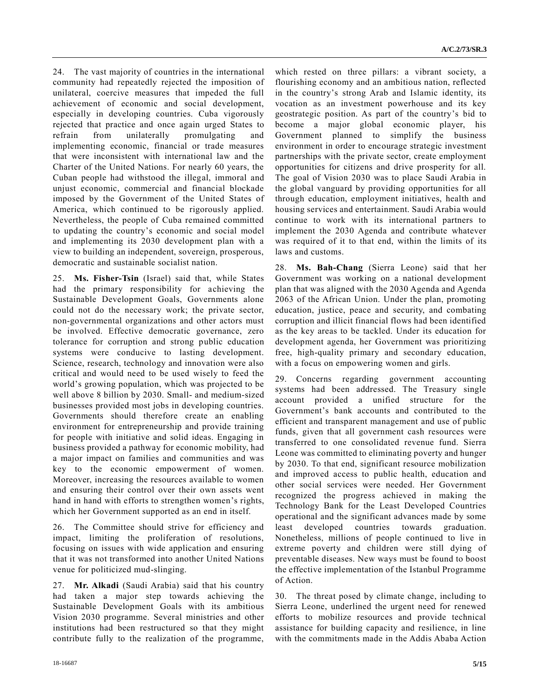24. The vast majority of countries in the international community had repeatedly rejected the imposition of unilateral, coercive measures that impeded the full achievement of economic and social development, especially in developing countries. Cuba vigorously rejected that practice and once again urged States to refrain from unilaterally promulgating and implementing economic, financial or trade measures that were inconsistent with international law and the Charter of the United Nations. For nearly 60 years, the Cuban people had withstood the illegal, immoral and unjust economic, commercial and financial blockade imposed by the Government of the United States of America, which continued to be rigorously applied. Nevertheless, the people of Cuba remained committed to updating the country's economic and social model and implementing its 2030 development plan with a view to building an independent, sovereign, prosperous, democratic and sustainable socialist nation.

25. **Ms. Fisher-Tsin** (Israel) said that, while States had the primary responsibility for achieving the Sustainable Development Goals, Governments alone could not do the necessary work; the private sector, non-governmental organizations and other actors must be involved. Effective democratic governance, zero tolerance for corruption and strong public education systems were conducive to lasting development. Science, research, technology and innovation were also critical and would need to be used wisely to feed the world's growing population, which was projected to be well above 8 billion by 2030. Small- and medium-sized businesses provided most jobs in developing countries. Governments should therefore create an enabling environment for entrepreneurship and provide training for people with initiative and solid ideas. Engaging in business provided a pathway for economic mobility, had a major impact on families and communities and was key to the economic empowerment of women. Moreover, increasing the resources available to women and ensuring their control over their own assets went hand in hand with efforts to strengthen women's rights, which her Government supported as an end in itself.

26. The Committee should strive for efficiency and impact, limiting the proliferation of resolutions, focusing on issues with wide application and ensuring that it was not transformed into another United Nations venue for politicized mud-slinging.

27. **Mr. Alkadi** (Saudi Arabia) said that his country had taken a major step towards achieving the Sustainable Development Goals with its ambitious Vision 2030 programme. Several ministries and other institutions had been restructured so that they might contribute fully to the realization of the programme,

which rested on three pillars: a vibrant society, a flourishing economy and an ambitious nation, reflected in the country's strong Arab and Islamic identity, its vocation as an investment powerhouse and its key geostrategic position. As part of the country's bid to become a major global economic player, his Government planned to simplify the business environment in order to encourage strategic investment partnerships with the private sector, create employment opportunities for citizens and drive prosperity for all. The goal of Vision 2030 was to place Saudi Arabia in the global vanguard by providing opportunities for all through education, employment initiatives, health and housing services and entertainment. Saudi Arabia would continue to work with its international partners to implement the 2030 Agenda and contribute whatever was required of it to that end, within the limits of its laws and customs.

28. **Ms. Bah-Chang** (Sierra Leone) said that her Government was working on a national development plan that was aligned with the 2030 Agenda and Agenda 2063 of the African Union. Under the plan, promoting education, justice, peace and security, and combating corruption and illicit financial flows had been identified as the key areas to be tackled. Under its education for development agenda, her Government was prioritizing free, high-quality primary and secondary education, with a focus on empowering women and girls.

29. Concerns regarding government accounting systems had been addressed. The Treasury single account provided a unified structure for the Government's bank accounts and contributed to the efficient and transparent management and use of public funds, given that all government cash resources were transferred to one consolidated revenue fund. Sierra Leone was committed to eliminating poverty and hunger by 2030. To that end, significant resource mobilization and improved access to public health, education and other social services were needed. Her Government recognized the progress achieved in making the Technology Bank for the Least Developed Countries operational and the significant advances made by some least developed countries towards graduation. Nonetheless, millions of people continued to live in extreme poverty and children were still dying of preventable diseases. New ways must be found to boost the effective implementation of the Istanbul Programme of Action.

30. The threat posed by climate change, including to Sierra Leone, underlined the urgent need for renewed efforts to mobilize resources and provide technical assistance for building capacity and resilience, in line with the commitments made in the Addis Ababa Action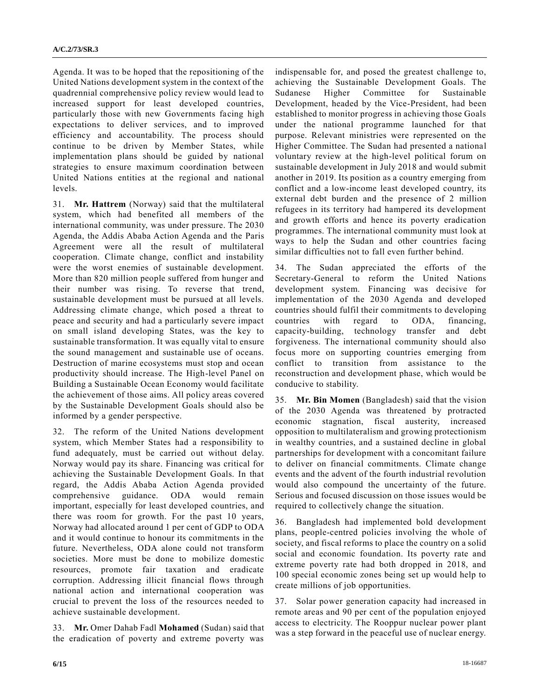Agenda. It was to be hoped that the repositioning of the United Nations development system in the context of the quadrennial comprehensive policy review would lead to increased support for least developed countries, particularly those with new Governments facing high expectations to deliver services, and to improved efficiency and accountability. The process should continue to be driven by Member States, while implementation plans should be guided by national strategies to ensure maximum coordination between United Nations entities at the regional and national levels.

31. **Mr. Hattrem** (Norway) said that the multilateral system, which had benefited all members of the international community, was under pressure. The 2030 Agenda, the Addis Ababa Action Agenda and the Paris Agreement were all the result of multilateral cooperation. Climate change, conflict and instability were the worst enemies of sustainable development. More than 820 million people suffered from hunger and their number was rising. To reverse that trend, sustainable development must be pursued at all levels. Addressing climate change, which posed a threat to peace and security and had a particularly severe impact on small island developing States, was the key to sustainable transformation. It was equally vital to ensure the sound management and sustainable use of oceans. Destruction of marine ecosystems must stop and ocean productivity should increase. The High-level Panel on Building a Sustainable Ocean Economy would facilitate the achievement of those aims. All policy areas covered by the Sustainable Development Goals should also be informed by a gender perspective.

32. The reform of the United Nations development system, which Member States had a responsibility to fund adequately, must be carried out without delay. Norway would pay its share. Financing was critical for achieving the Sustainable Development Goals. In that regard, the Addis Ababa Action Agenda provided comprehensive guidance. ODA would remain important, especially for least developed countries, and there was room for growth. For the past 10 years, Norway had allocated around 1 per cent of GDP to ODA and it would continue to honour its commitments in the future. Nevertheless, ODA alone could not transform societies. More must be done to mobilize domestic resources, promote fair taxation and eradicate corruption. Addressing illicit financial flows through national action and international cooperation was crucial to prevent the loss of the resources needed to achieve sustainable development.

33. **Mr.** Omer Dahab Fadl **Mohamed** (Sudan) said that the eradication of poverty and extreme poverty was

indispensable for, and posed the greatest challenge to, achieving the Sustainable Development Goals. The Sudanese Higher Committee for Sustainable Development, headed by the Vice-President, had been established to monitor progress in achieving those Goals under the national programme launched for that purpose. Relevant ministries were represented on the Higher Committee. The Sudan had presented a national voluntary review at the high-level political forum on sustainable development in July 2018 and would submit another in 2019. Its position as a country emerging from conflict and a low-income least developed country, its external debt burden and the presence of 2 million refugees in its territory had hampered its development and growth efforts and hence its poverty eradication programmes. The international community must look at ways to help the Sudan and other countries facing similar difficulties not to fall even further behind.

34. The Sudan appreciated the efforts of the Secretary-General to reform the United Nations development system. Financing was decisive for implementation of the 2030 Agenda and developed countries should fulfil their commitments to developing countries with regard to ODA, financing, capacity-building, technology transfer and debt forgiveness. The international community should also focus more on supporting countries emerging from conflict to transition from assistance to the reconstruction and development phase, which would be conducive to stability.

35. **Mr. Bin Momen** (Bangladesh) said that the vision of the 2030 Agenda was threatened by protracted economic stagnation, fiscal austerity, increased opposition to multilateralism and growing protectionism in wealthy countries, and a sustained decline in global partnerships for development with a concomitant failure to deliver on financial commitments. Climate change events and the advent of the fourth industrial revolution would also compound the uncertainty of the future. Serious and focused discussion on those issues would be required to collectively change the situation.

36. Bangladesh had implemented bold development plans, people-centred policies involving the whole of society, and fiscal reforms to place the country on a solid social and economic foundation. Its poverty rate and extreme poverty rate had both dropped in 2018, and 100 special economic zones being set up would help to create millions of job opportunities.

37. Solar power generation capacity had increased in remote areas and 90 per cent of the population enjoyed access to electricity. The Rooppur nuclear power plant was a step forward in the peaceful use of nuclear energy.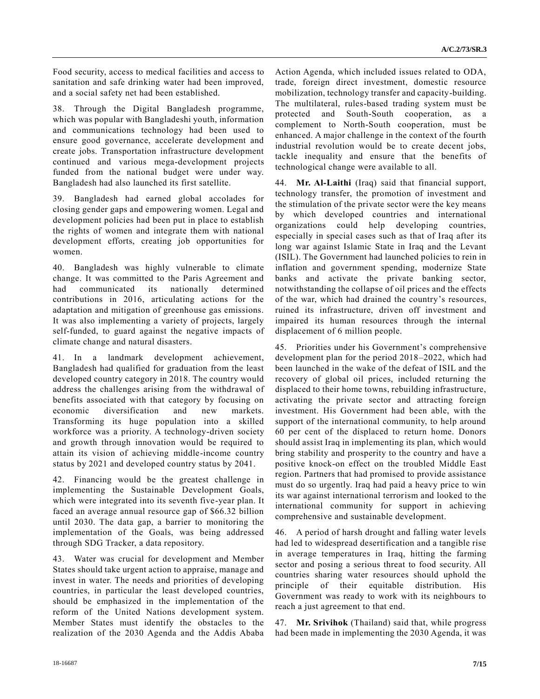Food security, access to medical facilities and access to sanitation and safe drinking water had been improved, and a social safety net had been established.

38. Through the Digital Bangladesh programme, which was popular with Bangladeshi youth, information and communications technology had been used to ensure good governance, accelerate development and create jobs. Transportation infrastructure development continued and various mega-development projects funded from the national budget were under way. Bangladesh had also launched its first satellite.

39. Bangladesh had earned global accolades for closing gender gaps and empowering women. Legal and development policies had been put in place to establish the rights of women and integrate them with national development efforts, creating job opportunities for women.

40. Bangladesh was highly vulnerable to climate change. It was committed to the Paris Agreement and had communicated its nationally determined contributions in 2016, articulating actions for the adaptation and mitigation of greenhouse gas emissions. It was also implementing a variety of projects, largely self-funded, to guard against the negative impacts of climate change and natural disasters.

41. In a landmark development achievement, Bangladesh had qualified for graduation from the least developed country category in 2018. The country would address the challenges arising from the withdrawal of benefits associated with that category by focusing on economic diversification and new markets. Transforming its huge population into a skilled workforce was a priority. A technology-driven society and growth through innovation would be required to attain its vision of achieving middle-income country status by 2021 and developed country status by 2041.

42. Financing would be the greatest challenge in implementing the Sustainable Development Goals, which were integrated into its seventh five-year plan. It faced an average annual resource gap of \$66.32 billion until 2030. The data gap, a barrier to monitoring the implementation of the Goals, was being addressed through SDG Tracker, a data repository.

43. Water was crucial for development and Member States should take urgent action to appraise, manage and invest in water. The needs and priorities of developing countries, in particular the least developed countries, should be emphasized in the implementation of the reform of the United Nations development system. Member States must identify the obstacles to the realization of the 2030 Agenda and the Addis Ababa

Action Agenda, which included issues related to ODA, trade, foreign direct investment, domestic resource mobilization, technology transfer and capacity-building. The multilateral, rules-based trading system must be protected and South-South cooperation, as a complement to North-South cooperation, must be enhanced. A major challenge in the context of the fourth industrial revolution would be to create decent jobs, tackle inequality and ensure that the benefits of technological change were available to all.

44. **Mr. Al-Laithi** (Iraq) said that financial support, technology transfer, the promotion of investment and the stimulation of the private sector were the key means by which developed countries and international organizations could help developing countries, especially in special cases such as that of Iraq after its long war against Islamic State in Iraq and the Levant (ISIL). The Government had launched policies to rein in inflation and government spending, modernize State banks and activate the private banking sector, notwithstanding the collapse of oil prices and the effects of the war, which had drained the country's resources, ruined its infrastructure, driven off investment and impaired its human resources through the internal displacement of 6 million people.

45. Priorities under his Government's comprehensive development plan for the period 2018–2022, which had been launched in the wake of the defeat of ISIL and the recovery of global oil prices, included returning the displaced to their home towns, rebuilding infrastructure, activating the private sector and attracting foreign investment. His Government had been able, with the support of the international community, to help around 60 per cent of the displaced to return home. Donors should assist Iraq in implementing its plan, which would bring stability and prosperity to the country and have a positive knock-on effect on the troubled Middle East region. Partners that had promised to provide assistance must do so urgently. Iraq had paid a heavy price to win its war against international terrorism and looked to the international community for support in achieving comprehensive and sustainable development.

46. A period of harsh drought and falling water levels had led to widespread desertification and a tangible rise in average temperatures in Iraq, hitting the farming sector and posing a serious threat to food security. All countries sharing water resources should uphold the principle of their equitable distribution. His Government was ready to work with its neighbours to reach a just agreement to that end.

47. **Mr. Srivihok** (Thailand) said that, while progress had been made in implementing the 2030 Agenda, it was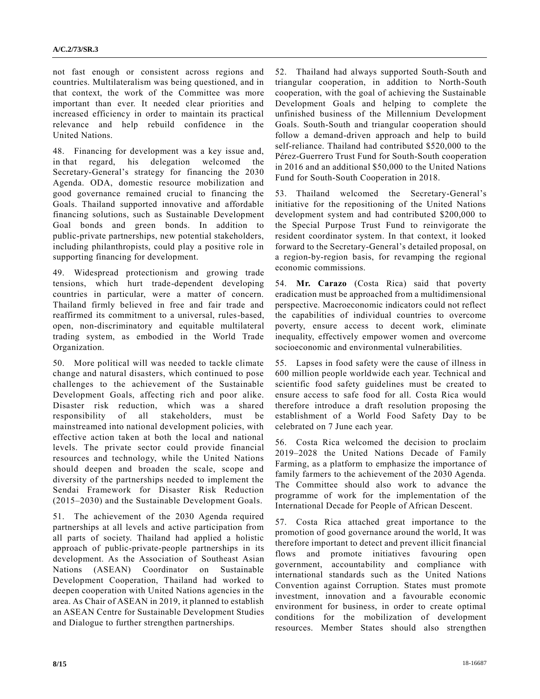not fast enough or consistent across regions and countries. Multilateralism was being questioned, and in that context, the work of the Committee was more important than ever. It needed clear priorities and increased efficiency in order to maintain its practical relevance and help rebuild confidence in the United Nations.

48. Financing for development was a key issue and, in that regard, his delegation welcomed the Secretary-General's strategy for financing the 2030 Agenda. ODA, domestic resource mobilization and good governance remained crucial to financing the Goals. Thailand supported innovative and affordable financing solutions, such as Sustainable Development Goal bonds and green bonds. In addition to public-private partnerships, new potential stakeholders, including philanthropists, could play a positive role in supporting financing for development.

49. Widespread protectionism and growing trade tensions, which hurt trade-dependent developing countries in particular, were a matter of concern. Thailand firmly believed in free and fair trade and reaffirmed its commitment to a universal, rules-based, open, non-discriminatory and equitable multilateral trading system, as embodied in the World Trade Organization.

50. More political will was needed to tackle climate change and natural disasters, which continued to pose challenges to the achievement of the Sustainable Development Goals, affecting rich and poor alike. Disaster risk reduction, which was a shared responsibility of all stakeholders, must be mainstreamed into national development policies, with effective action taken at both the local and national levels. The private sector could provide financial resources and technology, while the United Nations should deepen and broaden the scale, scope and diversity of the partnerships needed to implement the Sendai Framework for Disaster Risk Reduction (2015–2030) and the Sustainable Development Goals.

51. The achievement of the 2030 Agenda required partnerships at all levels and active participation from all parts of society. Thailand had applied a holistic approach of public-private-people partnerships in its development. As the Association of Southeast Asian Nations (ASEAN) Coordinator on Sustainable Development Cooperation, Thailand had worked to deepen cooperation with United Nations agencies in the area. As Chair of ASEAN in 2019, it planned to establish an ASEAN Centre for Sustainable Development Studies and Dialogue to further strengthen partnerships.

52. Thailand had always supported South-South and triangular cooperation, in addition to North-South cooperation, with the goal of achieving the Sustainable Development Goals and helping to complete the unfinished business of the Millennium Development Goals. South-South and triangular cooperation should follow a demand-driven approach and help to build self-reliance. Thailand had contributed \$520,000 to the Pérez-Guerrero Trust Fund for South-South cooperation in 2016 and an additional \$50,000 to the United Nations Fund for South-South Cooperation in 2018.

53. Thailand welcomed the Secretary-General's initiative for the repositioning of the United Nations development system and had contributed \$200,000 to the Special Purpose Trust Fund to reinvigorate the resident coordinator system. In that context, it looked forward to the Secretary-General's detailed proposal, on a region-by-region basis, for revamping the regional economic commissions.

54. **Mr. Carazo** (Costa Rica) said that poverty eradication must be approached from a multidimensional perspective. Macroeconomic indicators could not reflect the capabilities of individual countries to overcome poverty, ensure access to decent work, eliminate inequality, effectively empower women and overcome socioeconomic and environmental vulnerabilities.

55. Lapses in food safety were the cause of illness in 600 million people worldwide each year. Technical and scientific food safety guidelines must be created to ensure access to safe food for all. Costa Rica would therefore introduce a draft resolution proposing the establishment of a World Food Safety Day to be celebrated on 7 June each year.

56. Costa Rica welcomed the decision to proclaim 2019–2028 the United Nations Decade of Family Farming, as a platform to emphasize the importance of family farmers to the achievement of the 2030 Agenda. The Committee should also work to advance the programme of work for the implementation of the International Decade for People of African Descent.

57. Costa Rica attached great importance to the promotion of good governance around the world, It was therefore important to detect and prevent illicit financial flows and promote initiatives favouring open government, accountability and compliance with international standards such as the United Nations Convention against Corruption. States must promote investment, innovation and a favourable economic environment for business, in order to create optimal conditions for the mobilization of development resources. Member States should also strengthen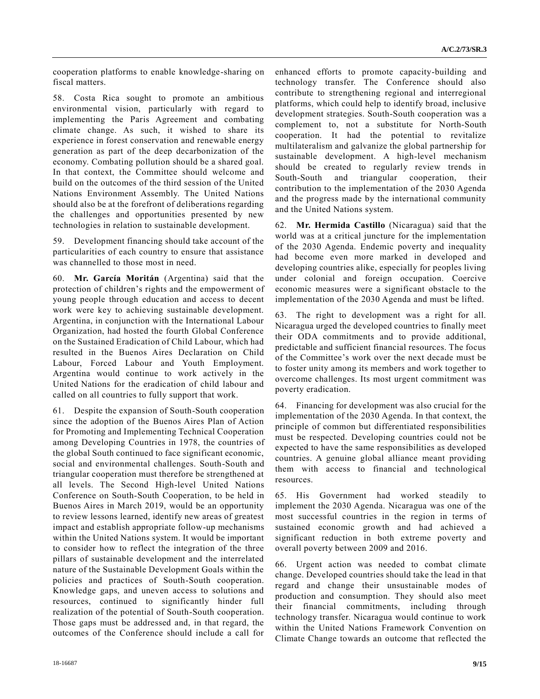cooperation platforms to enable knowledge-sharing on fiscal matters.

58. Costa Rica sought to promote an ambitious environmental vision, particularly with regard to implementing the Paris Agreement and combating climate change. As such, it wished to share its experience in forest conservation and renewable energy generation as part of the deep decarbonization of the economy. Combating pollution should be a shared goal. In that context, the Committee should welcome and build on the outcomes of the third session of the United Nations Environment Assembly. The United Nations should also be at the forefront of deliberations regarding the challenges and opportunities presented by new technologies in relation to sustainable development.

59. Development financing should take account of the particularities of each country to ensure that assistance was channelled to those most in need.

60. **Mr. García Moritán** (Argentina) said that the protection of children's rights and the empowerment of young people through education and access to decent work were key to achieving sustainable development. Argentina, in conjunction with the International Labour Organization, had hosted the fourth Global Conference on the Sustained Eradication of Child Labour, which had resulted in the Buenos Aires Declaration on Child Labour, Forced Labour and Youth Employment. Argentina would continue to work actively in the United Nations for the eradication of child labour and called on all countries to fully support that work.

61. Despite the expansion of South-South cooperation since the adoption of the Buenos Aires Plan of Action for Promoting and Implementing Technical Cooperation among Developing Countries in 1978, the countries of the global South continued to face significant economic, social and environmental challenges. South-South and triangular cooperation must therefore be strengthened at all levels. The Second High-level United Nations Conference on South-South Cooperation, to be held in Buenos Aires in March 2019, would be an opportunity to review lessons learned, identify new areas of greatest impact and establish appropriate follow-up mechanisms within the United Nations system. It would be important to consider how to reflect the integration of the three pillars of sustainable development and the interrelated nature of the Sustainable Development Goals within the policies and practices of South-South cooperation. Knowledge gaps, and uneven access to solutions and resources, continued to significantly hinder full realization of the potential of South-South cooperation. Those gaps must be addressed and, in that regard, the outcomes of the Conference should include a call for

enhanced efforts to promote capacity-building and technology transfer. The Conference should also contribute to strengthening regional and interregional platforms, which could help to identify broad, inclusive development strategies. South-South cooperation was a complement to, not a substitute for North-South cooperation. It had the potential to revitalize multilateralism and galvanize the global partnership for sustainable development. A high-level mechanism should be created to regularly review trends in South-South and triangular cooperation, their contribution to the implementation of the 2030 Agenda and the progress made by the international community and the United Nations system.

62. **Mr. Hermida Castillo** (Nicaragua) said that the world was at a critical juncture for the implementation of the 2030 Agenda. Endemic poverty and inequality had become even more marked in developed and developing countries alike, especially for peoples living under colonial and foreign occupation. Coercive economic measures were a significant obstacle to the implementation of the 2030 Agenda and must be lifted.

63. The right to development was a right for all. Nicaragua urged the developed countries to finally meet their ODA commitments and to provide additional, predictable and sufficient financial resources. The focus of the Committee's work over the next decade must be to foster unity among its members and work together to overcome challenges. Its most urgent commitment was poverty eradication.

64. Financing for development was also crucial for the implementation of the 2030 Agenda. In that context, the principle of common but differentiated responsibilities must be respected. Developing countries could not be expected to have the same responsibilities as developed countries. A genuine global alliance meant providing them with access to financial and technological resources.

65. His Government had worked steadily to implement the 2030 Agenda. Nicaragua was one of the most successful countries in the region in terms of sustained economic growth and had achieved a significant reduction in both extreme poverty and overall poverty between 2009 and 2016.

66. Urgent action was needed to combat climate change. Developed countries should take the lead in that regard and change their unsustainable modes of production and consumption. They should also meet their financial commitments, including through technology transfer. Nicaragua would continue to work within the United Nations Framework Convention on Climate Change towards an outcome that reflected the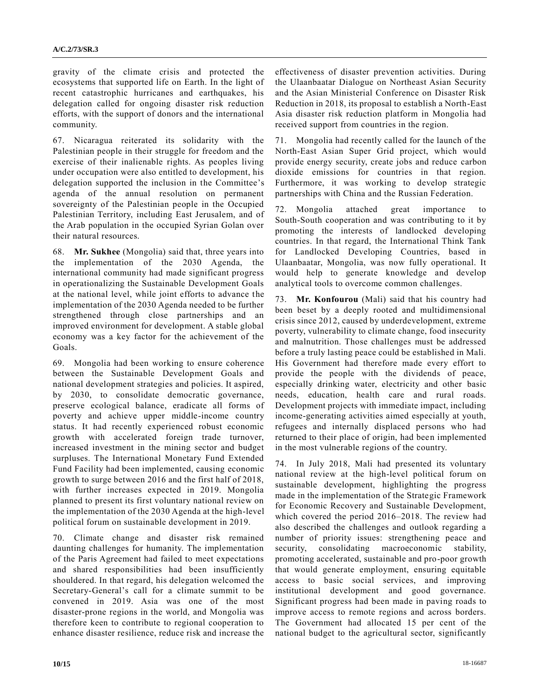gravity of the climate crisis and protected the ecosystems that supported life on Earth. In the light of recent catastrophic hurricanes and earthquakes, his delegation called for ongoing disaster risk reduction efforts, with the support of donors and the international community.

67. Nicaragua reiterated its solidarity with the Palestinian people in their struggle for freedom and the exercise of their inalienable rights. As peoples living under occupation were also entitled to development, his delegation supported the inclusion in the Committee's agenda of the annual resolution on permanent sovereignty of the Palestinian people in the Occupied Palestinian Territory, including East Jerusalem, and of the Arab population in the occupied Syrian Golan over their natural resources.

68. **Mr. Sukhee** (Mongolia) said that, three years into the implementation of the 2030 Agenda, the international community had made significant progress in operationalizing the Sustainable Development Goals at the national level, while joint efforts to advance the implementation of the 2030 Agenda needed to be further strengthened through close partnerships and an improved environment for development. A stable global economy was a key factor for the achievement of the Goals.

69. Mongolia had been working to ensure coherence between the Sustainable Development Goals and national development strategies and policies. It aspired, by 2030, to consolidate democratic governance, preserve ecological balance, eradicate all forms of poverty and achieve upper middle-income country status. It had recently experienced robust economic growth with accelerated foreign trade turnover, increased investment in the mining sector and budget surpluses. The International Monetary Fund Extended Fund Facility had been implemented, causing economic growth to surge between 2016 and the first half of 2018, with further increases expected in 2019. Mongolia planned to present its first voluntary national review on the implementation of the 2030 Agenda at the high-level political forum on sustainable development in 2019.

70. Climate change and disaster risk remained daunting challenges for humanity. The implementation of the Paris Agreement had failed to meet expectations and shared responsibilities had been insufficiently shouldered. In that regard, his delegation welcomed the Secretary-General's call for a climate summit to be convened in 2019. Asia was one of the most disaster-prone regions in the world, and Mongolia was therefore keen to contribute to regional cooperation to enhance disaster resilience, reduce risk and increase the effectiveness of disaster prevention activities. During the Ulaanbaatar Dialogue on Northeast Asian Security and the Asian Ministerial Conference on Disaster Risk Reduction in 2018, its proposal to establish a North-East Asia disaster risk reduction platform in Mongolia had received support from countries in the region.

71. Mongolia had recently called for the launch of the North-East Asian Super Grid project, which would provide energy security, create jobs and reduce carbon dioxide emissions for countries in that region. Furthermore, it was working to develop strategic partnerships with China and the Russian Federation.

72. Mongolia attached great importance to South-South cooperation and was contributing to it by promoting the interests of landlocked developing countries. In that regard, the International Think Tank for Landlocked Developing Countries, based in Ulaanbaatar, Mongolia, was now fully operational. It would help to generate knowledge and develop analytical tools to overcome common challenges.

73. **Mr. Konfourou** (Mali) said that his country had been beset by a deeply rooted and multidimensional crisis since 2012, caused by underdevelopment, extreme poverty, vulnerability to climate change, food insecurity and malnutrition. Those challenges must be addressed before a truly lasting peace could be established in Mali. His Government had therefore made every effort to provide the people with the dividends of peace, especially drinking water, electricity and other basic needs, education, health care and rural roads. Development projects with immediate impact, including income-generating activities aimed especially at youth, refugees and internally displaced persons who had returned to their place of origin, had been implemented in the most vulnerable regions of the country.

74. In July 2018, Mali had presented its voluntary national review at the high-level political forum on sustainable development, highlighting the progress made in the implementation of the Strategic Framework for Economic Recovery and Sustainable Development, which covered the period 2016–2018. The review had also described the challenges and outlook regarding a number of priority issues: strengthening peace and security, consolidating macroeconomic stability, promoting accelerated, sustainable and pro-poor growth that would generate employment, ensuring equitable access to basic social services, and improving institutional development and good governance. Significant progress had been made in paving roads to improve access to remote regions and across borders. The Government had allocated 15 per cent of the national budget to the agricultural sector, significantly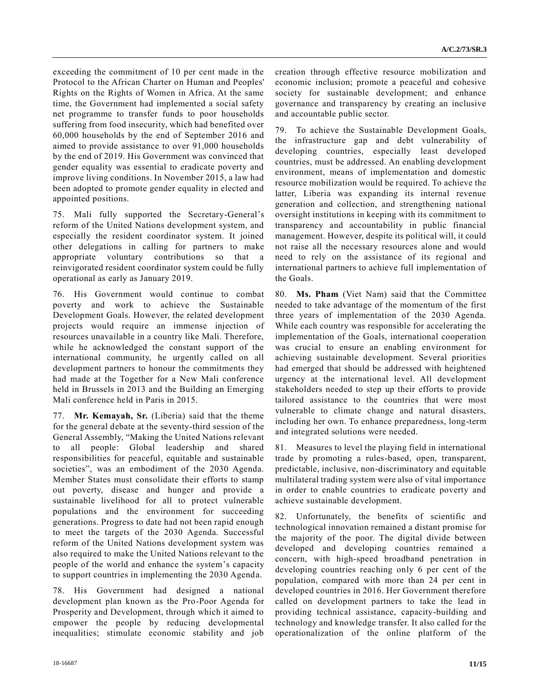exceeding the commitment of 10 per cent made in the Protocol to the African Charter on Human and Peoples' Rights on the Rights of Women in Africa. At the same time, the Government had implemented a social safety net programme to transfer funds to poor households suffering from food insecurity, which had benefited over 60,000 households by the end of September 2016 and aimed to provide assistance to over 91,000 households by the end of 2019. His Government was convinced that gender equality was essential to eradicate poverty and improve living conditions. In November 2015, a law had been adopted to promote gender equality in elected and appointed positions.

75. Mali fully supported the Secretary-General's reform of the United Nations development system, and especially the resident coordinator system. It joined other delegations in calling for partners to make appropriate voluntary contributions so that a reinvigorated resident coordinator system could be fully operational as early as January 2019.

76. His Government would continue to combat poverty and work to achieve the Sustainable Development Goals. However, the related development projects would require an immense injection of resources unavailable in a country like Mali. Therefore, while he acknowledged the constant support of the international community, he urgently called on all development partners to honour the commitments they had made at the Together for a New Mali conference held in Brussels in 2013 and the Building an Emerging Mali conference held in Paris in 2015.

77. **Mr. Kemayah, Sr.** (Liberia) said that the theme for the general debate at the seventy-third session of the General Assembly, "Making the United Nations relevant to all people: Global leadership and shared responsibilities for peaceful, equitable and sustainable societies", was an embodiment of the 2030 Agenda. Member States must consolidate their efforts to stamp out poverty, disease and hunger and provide a sustainable livelihood for all to protect vulnerable populations and the environment for succeeding generations. Progress to date had not been rapid enough to meet the targets of the 2030 Agenda. Successful reform of the United Nations development system was also required to make the United Nations relevant to the people of the world and enhance the system's capacity to support countries in implementing the 2030 Agenda.

78. His Government had designed a national development plan known as the Pro-Poor Agenda for Prosperity and Development, through which it aimed to empower the people by reducing developmental inequalities; stimulate economic stability and job creation through effective resource mobilization and economic inclusion; promote a peaceful and cohesive society for sustainable development; and enhance governance and transparency by creating an inclusive and accountable public sector.

79. To achieve the Sustainable Development Goals, the infrastructure gap and debt vulnerability of developing countries, especially least developed countries, must be addressed. An enabling development environment, means of implementation and domestic resource mobilization would be required. To achieve the latter, Liberia was expanding its internal revenue generation and collection, and strengthening national oversight institutions in keeping with its commitment to transparency and accountability in public financial management. However, despite its political will, it could not raise all the necessary resources alone and would need to rely on the assistance of its regional and international partners to achieve full implementation of the Goals.

80. **Ms. Pham** (Viet Nam) said that the Committee needed to take advantage of the momentum of the first three years of implementation of the 2030 Agenda. While each country was responsible for accelerating the implementation of the Goals, international cooperation was crucial to ensure an enabling environment for achieving sustainable development. Several priorities had emerged that should be addressed with heightened urgency at the international level. All development stakeholders needed to step up their efforts to provide tailored assistance to the countries that were most vulnerable to climate change and natural disasters, including her own. To enhance preparedness, long-term and integrated solutions were needed.

81. Measures to level the playing field in international trade by promoting a rules-based, open, transparent, predictable, inclusive, non-discriminatory and equitable multilateral trading system were also of vital importance in order to enable countries to eradicate poverty and achieve sustainable development.

82. Unfortunately, the benefits of scientific and technological innovation remained a distant promise for the majority of the poor. The digital divide between developed and developing countries remained a concern, with high-speed broadband penetration in developing countries reaching only 6 per cent of the population, compared with more than 24 per cent in developed countries in 2016. Her Government therefore called on development partners to take the lead in providing technical assistance, capacity-building and technology and knowledge transfer. It also called for the operationalization of the online platform of the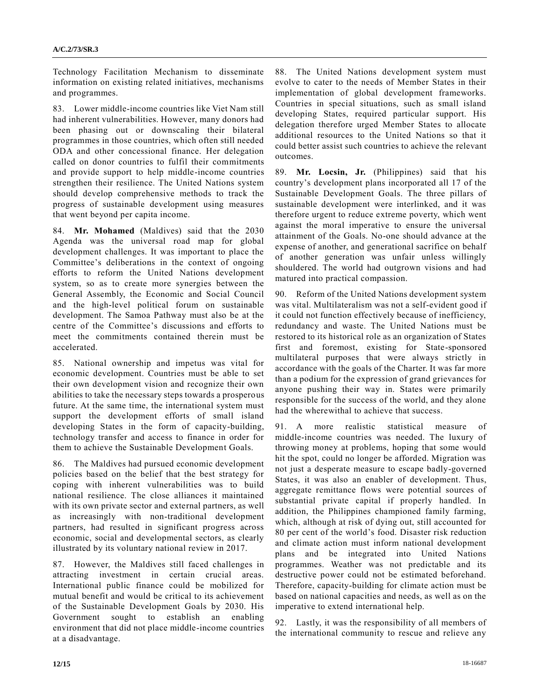Technology Facilitation Mechanism to disseminate information on existing related initiatives, mechanisms and programmes.

83. Lower middle-income countries like Viet Nam still had inherent vulnerabilities. However, many donors had been phasing out or downscaling their bilateral programmes in those countries, which often still needed ODA and other concessional finance. Her delegation called on donor countries to fulfil their commitments and provide support to help middle-income countries strengthen their resilience. The United Nations system should develop comprehensive methods to track the progress of sustainable development using measures that went beyond per capita income.

84. **Mr. Mohamed** (Maldives) said that the 2030 Agenda was the universal road map for global development challenges. It was important to place the Committee's deliberations in the context of ongoing efforts to reform the United Nations development system, so as to create more synergies between the General Assembly, the Economic and Social Council and the high-level political forum on sustainable development. The Samoa Pathway must also be at the centre of the Committee's discussions and efforts to meet the commitments contained therein must be accelerated.

85. National ownership and impetus was vital for economic development. Countries must be able to set their own development vision and recognize their own abilities to take the necessary steps towards a prosperous future. At the same time, the international system must support the development efforts of small island developing States in the form of capacity-building, technology transfer and access to finance in order for them to achieve the Sustainable Development Goals.

86. The Maldives had pursued economic development policies based on the belief that the best strategy for coping with inherent vulnerabilities was to build national resilience. The close alliances it maintained with its own private sector and external partners, as well as increasingly with non-traditional development partners, had resulted in significant progress across economic, social and developmental sectors, as clearly illustrated by its voluntary national review in 2017.

87. However, the Maldives still faced challenges in attracting investment in certain crucial areas. International public finance could be mobilized for mutual benefit and would be critical to its achievement of the Sustainable Development Goals by 2030. His Government sought to establish an enabling environment that did not place middle-income countries at a disadvantage.

88. The United Nations development system must evolve to cater to the needs of Member States in their implementation of global development frameworks. Countries in special situations, such as small island developing States, required particular support. His delegation therefore urged Member States to allocate additional resources to the United Nations so that it could better assist such countries to achieve the relevant outcomes.

89. **Mr. Locsin, Jr.** (Philippines) said that his country's development plans incorporated all 17 of the Sustainable Development Goals. The three pillars of sustainable development were interlinked, and it was therefore urgent to reduce extreme poverty, which went against the moral imperative to ensure the universal attainment of the Goals. No-one should advance at the expense of another, and generational sacrifice on behalf of another generation was unfair unless willingly shouldered. The world had outgrown visions and had matured into practical compassion.

90. Reform of the United Nations development system was vital. Multilateralism was not a self-evident good if it could not function effectively because of inefficiency, redundancy and waste. The United Nations must be restored to its historical role as an organization of States first and foremost, existing for State-sponsored multilateral purposes that were always strictly in accordance with the goals of the Charter. It was far more than a podium for the expression of grand grievances for anyone pushing their way in. States were primarily responsible for the success of the world, and they alone had the wherewithal to achieve that success.

91. A more realistic statistical measure of middle-income countries was needed. The luxury of throwing money at problems, hoping that some would hit the spot, could no longer be afforded. Migration was not just a desperate measure to escape badly-governed States, it was also an enabler of development. Thus, aggregate remittance flows were potential sources of substantial private capital if properly handled. In addition, the Philippines championed family farming, which, although at risk of dying out, still accounted for 80 per cent of the world's food. Disaster risk reduction and climate action must inform national development plans and be integrated into United Nations programmes. Weather was not predictable and its destructive power could not be estimated beforehand. Therefore, capacity-building for climate action must be based on national capacities and needs, as well as on the imperative to extend international help.

92. Lastly, it was the responsibility of all members of the international community to rescue and relieve any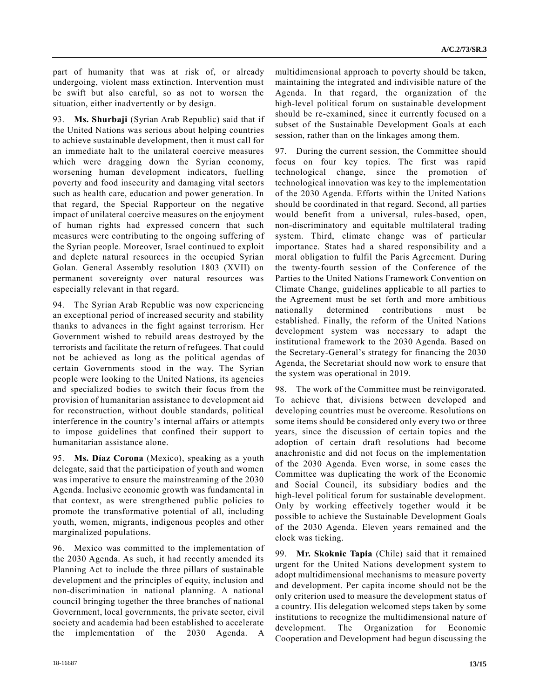part of humanity that was at risk of, or already undergoing, violent mass extinction. Intervention must be swift but also careful, so as not to worsen the situation, either inadvertently or by design.

93. **Ms. Shurbaji** (Syrian Arab Republic) said that if the United Nations was serious about helping countries to achieve sustainable development, then it must call for an immediate halt to the unilateral coercive measures which were dragging down the Syrian economy, worsening human development indicators, fuelling poverty and food insecurity and damaging vital sectors such as health care, education and power generation. In that regard, the Special Rapporteur on the negative impact of unilateral coercive measures on the enjoyment of human rights had expressed concern that such measures were contributing to the ongoing suffering of the Syrian people. Moreover, Israel continued to exploit and deplete natural resources in the occupied Syrian Golan. General Assembly resolution 1803 (XVII) on permanent sovereignty over natural resources was especially relevant in that regard.

94. The Syrian Arab Republic was now experiencing an exceptional period of increased security and stability thanks to advances in the fight against terrorism. Her Government wished to rebuild areas destroyed by the terrorists and facilitate the return of refugees. That could not be achieved as long as the political agendas of certain Governments stood in the way. The Syrian people were looking to the United Nations, its agencies and specialized bodies to switch their focus from the provision of humanitarian assistance to development aid for reconstruction, without double standards, political interference in the country's internal affairs or attempts to impose guidelines that confined their support to humanitarian assistance alone.

95. **Ms. Díaz Corona** (Mexico), speaking as a youth delegate, said that the participation of youth and women was imperative to ensure the mainstreaming of the 2030 Agenda. Inclusive economic growth was fundamental in that context, as were strengthened public policies to promote the transformative potential of all, including youth, women, migrants, indigenous peoples and other marginalized populations.

96. Mexico was committed to the implementation of the 2030 Agenda. As such, it had recently amended its Planning Act to include the three pillars of sustainable development and the principles of equity, inclusion and non-discrimination in national planning. A national council bringing together the three branches of national Government, local governments, the private sector, civil society and academia had been established to accelerate the implementation of the 2030 Agenda. A

multidimensional approach to poverty should be taken, maintaining the integrated and indivisible nature of the Agenda. In that regard, the organization of the high-level political forum on sustainable development should be re-examined, since it currently focused on a subset of the Sustainable Development Goals at each session, rather than on the linkages among them.

97. During the current session, the Committee should focus on four key topics. The first was rapid technological change, since the promotion of technological innovation was key to the implementation of the 2030 Agenda. Efforts within the United Nations should be coordinated in that regard. Second, all parties would benefit from a universal, rules-based, open, non-discriminatory and equitable multilateral trading system. Third, climate change was of particular importance. States had a shared responsibility and a moral obligation to fulfil the Paris Agreement. During the twenty-fourth session of the Conference of the Parties to the United Nations Framework Convention on Climate Change, guidelines applicable to all parties to the Agreement must be set forth and more ambitious nationally determined contributions must be established. Finally, the reform of the United Nations development system was necessary to adapt the institutional framework to the 2030 Agenda. Based on the Secretary-General's strategy for financing the 2030 Agenda, the Secretariat should now work to ensure that the system was operational in 2019.

98. The work of the Committee must be reinvigorated. To achieve that, divisions between developed and developing countries must be overcome. Resolutions on some items should be considered only every two or three years, since the discussion of certain topics and the adoption of certain draft resolutions had become anachronistic and did not focus on the implementation of the 2030 Agenda. Even worse, in some cases the Committee was duplicating the work of the Economic and Social Council, its subsidiary bodies and the high-level political forum for sustainable development. Only by working effectively together would it be possible to achieve the Sustainable Development Goals of the 2030 Agenda. Eleven years remained and the clock was ticking.

99. **Mr. Skoknic Tapia** (Chile) said that it remained urgent for the United Nations development system to adopt multidimensional mechanisms to measure poverty and development. Per capita income should not be the only criterion used to measure the development status of a country. His delegation welcomed steps taken by some institutions to recognize the multidimensional nature of development. The Organization for Economic Cooperation and Development had begun discussing the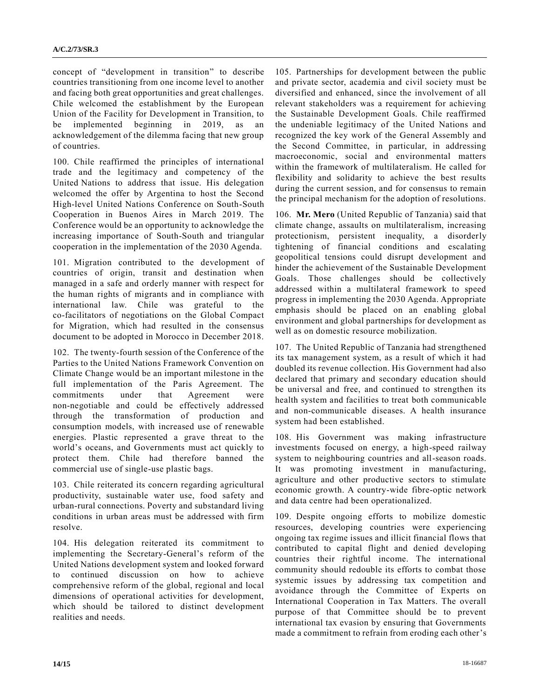concept of "development in transition" to describe countries transitioning from one income level to another and facing both great opportunities and great challenges. Chile welcomed the establishment by the European Union of the Facility for Development in Transition, to be implemented beginning in 2019, as an acknowledgement of the dilemma facing that new group of countries.

100. Chile reaffirmed the principles of international trade and the legitimacy and competency of the United Nations to address that issue. His delegation welcomed the offer by Argentina to host the Second High-level United Nations Conference on South-South Cooperation in Buenos Aires in March 2019. The Conference would be an opportunity to acknowledge the increasing importance of South-South and triangular cooperation in the implementation of the 2030 Agenda.

101. Migration contributed to the development of countries of origin, transit and destination when managed in a safe and orderly manner with respect for the human rights of migrants and in compliance with international law. Chile was grateful to the co-facilitators of negotiations on the Global Compact for Migration, which had resulted in the consensus document to be adopted in Morocco in December 2018.

102. The twenty-fourth session of the Conference of the Parties to the United Nations Framework Convention on Climate Change would be an important milestone in the full implementation of the Paris Agreement. The commitments under that Agreement were non-negotiable and could be effectively addressed through the transformation of production and consumption models, with increased use of renewable energies. Plastic represented a grave threat to the world's oceans, and Governments must act quickly to protect them. Chile had therefore banned the commercial use of single-use plastic bags.

103. Chile reiterated its concern regarding agricultural productivity, sustainable water use, food safety and urban-rural connections. Poverty and substandard living conditions in urban areas must be addressed with firm resolve.

104. His delegation reiterated its commitment to implementing the Secretary-General's reform of the United Nations development system and looked forward to continued discussion on how to achieve comprehensive reform of the global, regional and local dimensions of operational activities for development, which should be tailored to distinct development realities and needs.

105. Partnerships for development between the public and private sector, academia and civil society must be diversified and enhanced, since the involvement of all relevant stakeholders was a requirement for achieving the Sustainable Development Goals. Chile reaffirmed the undeniable legitimacy of the United Nations and recognized the key work of the General Assembly and the Second Committee, in particular, in addressing macroeconomic, social and environmental matters within the framework of multilateralism. He called for flexibility and solidarity to achieve the best results during the current session, and for consensus to remain the principal mechanism for the adoption of resolutions.

106. **Mr. Mero** (United Republic of Tanzania) said that climate change, assaults on multilateralism, increasing protectionism, persistent inequality, a disorderly tightening of financial conditions and escalating geopolitical tensions could disrupt development and hinder the achievement of the Sustainable Development Goals. Those challenges should be collectively addressed within a multilateral framework to speed progress in implementing the 2030 Agenda. Appropriate emphasis should be placed on an enabling global environment and global partnerships for development as well as on domestic resource mobilization.

107. The United Republic of Tanzania had strengthened its tax management system, as a result of which it had doubled its revenue collection. His Government had also declared that primary and secondary education should be universal and free, and continued to strengthen its health system and facilities to treat both communicable and non-communicable diseases. A health insurance system had been established.

108. His Government was making infrastructure investments focused on energy, a high-speed railway system to neighbouring countries and all-season roads. It was promoting investment in manufacturing, agriculture and other productive sectors to stimulate economic growth. A country-wide fibre-optic network and data centre had been operationalized.

109. Despite ongoing efforts to mobilize domestic resources, developing countries were experiencing ongoing tax regime issues and illicit financial flows that contributed to capital flight and denied developing countries their rightful income. The international community should redouble its efforts to combat those systemic issues by addressing tax competition and avoidance through the Committee of Experts on International Cooperation in Tax Matters. The overall purpose of that Committee should be to prevent international tax evasion by ensuring that Governments made a commitment to refrain from eroding each other's